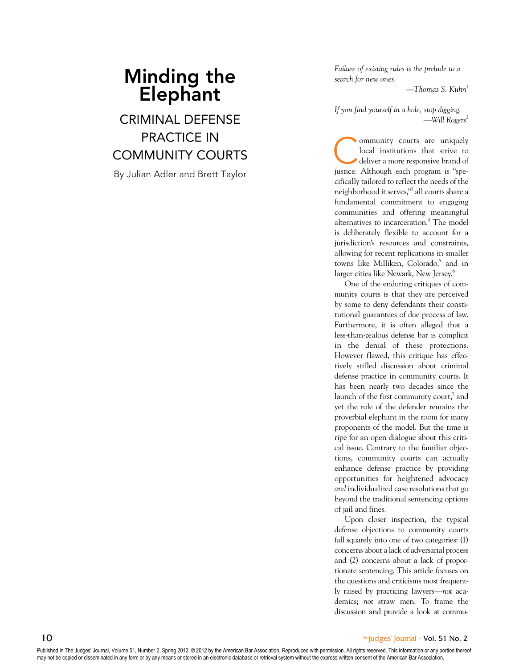# Minding the **Elephant**

Criminal Defense PRACTICE IN Community Courts

By Julian Adler and Brett Taylor

*Failure of existing rules is the prelude to a search for new ones.*

*—Thomas S. Kuhn* 1

*If you find yourself in a hole, stop digging. —Will Rogers* 2

Community courts are uniquely local institutions that strive to deliver a more responsive brand of local institutions that strive to justice. Although each program is "spe cifically tailored to reflect the needs of the neighborhood it serves," 3 all courts share a fundamental commitment to engaging communities and offering meaningful alternatives to incarceration. 4 The model is deliberately flexible to account for a jurisdiction's resources and constraints, allowing for recent replications in smaller towns like Milliken, Colorado, 5 and in larger cities like Newark, New Jersey. 6

One of the enduring critiques of com munity courts is that they are perceived by some to deny defendants their consti tutional guarantees of due process of law. Furthermore, it is often alleged that a less-than-zealous defense bar is complicit in the denial of these protections. However flawed, this critique has effec tively stifled discussion about criminal defense practice in community courts. It has been nearly two decades since the launch of the first community court,<sup>7</sup> and yet the role of the defender remains the proverbial elephant in the room for many proponents of the model. But the time is ripe for an open dialogue about this criti cal issue. Contrary to the familiar objec tions, community courts can actually enhance defense practice by providing opportunities for heightened advocacy *and* individualized case resolutions that go beyond the traditional sentencing options of jail and fines.

Upon closer inspection, the typical defense objections to community courts fall squarely into one of two categories: (1) concerns about a lack of adversarial process and (2) concerns about a lack of proportionate sentencing. This article focuses on the questions and criticisms most frequently raised by practicing lawyers—*not* academics; *not* straw men. To frame the discussion and provide a look at commu-

Published in The Judges' Journal, Volume 51, Number 2, Spring 2012. © 2012 by the American Bar Association. Reproduced with permission. All rights reserved. This information or any portion thereof may not be copied or disseminated in any form or by any means or stored in an electronic database or retrieval system without the express written consent of the American Bar Association.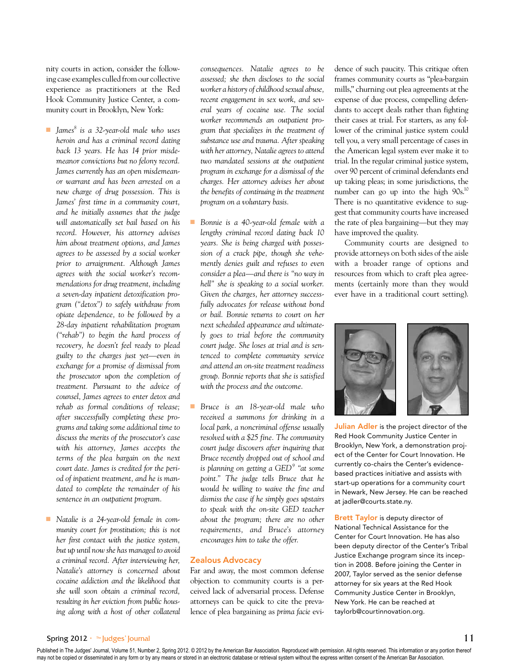nity courts in action, consider the following case examples culled from our collective experience as practitioners at the Red Hook Community Justice Center, a community court in Brooklyn, New York:

- ■■ *James8 is a 32-year-old male who uses heroin and has a criminal record dating back 13 years. He has 14 prior misdemeanor convictions but no felony record. James currently has an open misdemeanor warrant and has been arrested on a new charge of drug possession. This is James' first time in a community court, and he initially assumes that the judge will automatically set bail based on his record. However, his attorney advises him about treatment options, and James agrees to be assessed by a social worker prior to arraignment. Although James agrees with the social worker's recommendations for drug treatment, including a seven-day inpatient detoxification program ("detox") to safely withdraw from opiate dependence, to be followed by a 28-day inpatient rehabilitation program ("rehab") to begin the hard process of recovery, he doesn't feel ready to plead guilty to the charges just yet—even in exchange for a promise of dismissal from the prosecutor upon the completion of treatment. Pursuant to the advice of counsel, James agrees to enter detox and rehab as formal conditions of release; after successfully completing these programs and taking some additional time to discuss the merits of the prosecutor's case with his attorney, James accepts the terms of the plea bargain on the next court date. James is credited for the period of inpatient treatment, and he is mandated to complete the remainder of his sentence in an outpatient program.*
- *Natalie is a 24-year-old female in community court for prostitution; this is not her first contact with the justice system, but up until now she has managed to avoid a criminal record. After interviewing her, Natalie's attorney is concerned about cocaine addiction and the likelihood that she will soon obtain a criminal record, resulting in her eviction from public housing along with a host of other collateral*

*consequences. Natalie agrees to be assessed; she then discloses to the social worker a history of childhood sexual abuse, recent engagement in sex work, and several years of cocaine use. The social worker recommends an outpatient program that specializes in the treatment of substance use and trauma. After speaking with her attorney, Natalie agrees to attend two mandated sessions at the outpatient program in exchange for a dismissal of the charges. Her attorney advises her about the benefits of continuing in the treatment program on a voluntary basis.*

- Bonnie is a 40-year-old female with a *lengthy criminal record dating back 10 years. She is being charged with possession of a crack pipe, though she vehemently denies guilt and refuses to even consider a plea—and there is "no way in hell" she is speaking to a social worker. Given the charges, her attorney successfully advocates for release without bond or bail. Bonnie returns to court on her next scheduled appearance and ultimately goes to trial before the community court judge. She loses at trial and is sentenced to complete community service and attend an on-site treatment readiness group. Bonnie reports that she is satisfied with the process and the outcome.*
- Bruce is an 18-year-old male who *received a summons for drinking in a local park, a noncriminal offense usually resolved with a \$25 fine. The community court judge discovers after inquiring that Bruce recently dropped out of school and is planning on getting a GED<sup>9</sup> "at some point." The judge tells Bruce that he would be willing to waive the fine and dismiss the case if he simply goes upstairs to speak with the on-site GED teacher about the program; there are no other requirements, and Bruce's attorney encourages him to take the offer.*

#### Zealous Advocacy

Far and away, the most common defense objection to community courts is a perceived lack of adversarial process. Defense attorneys can be quick to cite the prevalence of plea bargaining as *prima facie* evidence of such paucity. This critique often frames community courts as "plea-bargain mills," churning out plea agreements at the expense of due process, compelling defendants to accept deals rather than fighting their cases at trial. For starters, as any follower of the criminal justice system could tell you, a very small percentage of cases in the American legal system ever make it to trial. In the regular criminal justice system, over 90 percent of criminal defendants end up taking pleas; in some jurisdictions, the number can go up into the high 90s.<sup>10</sup> There is no quantitative evidence to suggest that community courts have increased the rate of plea bargaining—but they may have improved the quality.

Community courts are designed to provide attorneys on both sides of the aisle with a broader range of options and resources from which to craft plea agreements (certainly more than they would ever have in a traditional court setting).



Julian Adler is the project director of the Red Hook Community Justice Center in Brooklyn, New York, a demonstration project of the Center for Court Innovation. He currently co-chairs the Center's evidencebased practices initiative and assists with start-up operations for a community court in Newark, New Jersey. He can be reached at jadler@courts.state.ny.

Brett Taylor is deputy director of National Technical Assistance for the Center for Court Innovation. He has also been deputy director of the Center's Tribal Justice Exchange program since its inception in 2008. Before joining the Center in 2007, Taylor served as the senior defense attorney for six years at the Red Hook Community Justice Center in Brooklyn, New York. He can be reached at taylorb@courtinnovation.org.

# Spring 2012 • The Judges' Journal 11

Published in The Judges' Journal, Volume 51, Number 2, Spring 2012. © 2012 by the American Bar Association. Reproduced with permission. All rights reserved. This information or any portion thereof may not be copied or disseminated in any form or by any means or stored in an electronic database or retrieval system without the express written consent of the American Bar Association.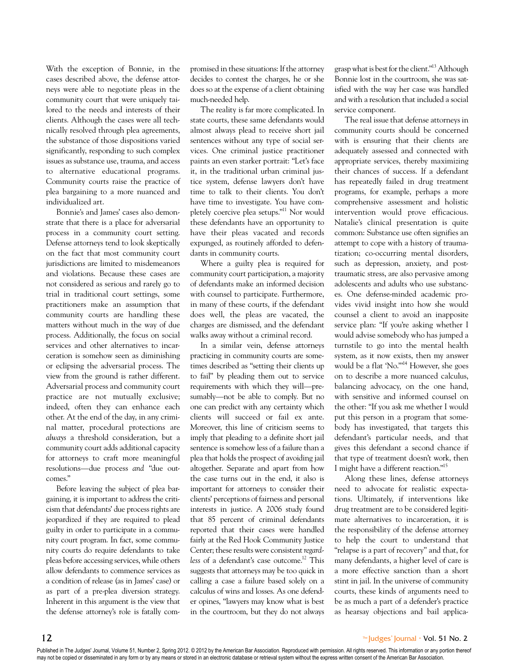With the exception of Bonnie, in the cases described above, the defense attorneys were able to negotiate pleas in the community court that were uniquely tailored to the needs and interests of their clients. Although the cases were all technically resolved through plea agreements, the substance of those dispositions varied significantly, responding to such complex issues as substance use, trauma, and access to alternative educational programs. Community courts raise the practice of plea bargaining to a more nuanced and individualized art.

Bonnie's and James' cases also demonstrate that there is a place for adversarial process in a community court setting. Defense attorneys tend to look skeptically on the fact that most community court jurisdictions are limited to misdemeanors and violations. Because these cases are not considered as serious and rarely go to trial in traditional court settings, some practitioners make an assumption that community courts are handling these matters without much in the way of due process. Additionally, the focus on social services and other alternatives to incarceration is somehow seen as diminishing or eclipsing the adversarial process. The view from the ground is rather different. Adversarial process and community court practice are not mutually exclusive; indeed, often they can enhance each other. At the end of the day, in any criminal matter, procedural protections are *always* a threshold consideration, but a community court adds additional capacity for attorneys to craft more meaningful resolutions—due process *and* "due outcomes."

Before leaving the subject of plea bargaining, it is important to address the criticism that defendants' due process rights are jeopardized if they are required to plead guilty in order to participate in a community court program. In fact, some community courts do require defendants to take pleas before accessing services, while others allow defendants to commence services as a condition of release (as in James' case) or as part of a pre-plea diversion strategy. Inherent in this argument is the view that the defense attorney's role is fatally compromised in these situations: If the attorney decides to contest the charges, he or she does so at the expense of a client obtaining much-needed help.

The reality is far more complicated. In state courts, these same defendants would almost always plead to receive short jail sentences without any type of social services. One criminal justice practitioner paints an even starker portrait: "Let's face it, in the traditional urban criminal justice system, defense lawyers don't have time to talk to their clients. You don't have time to investigate. You have completely coercive plea setups."11 Nor would these defendants have an opportunity to have their pleas vacated and records expunged, as routinely afforded to defendants in community courts.

Where a guilty plea is required for community court participation, a majority of defendants make an informed decision with counsel to participate. Furthermore, in many of these courts, if the defendant does well, the pleas are vacated, the charges are dismissed, and the defendant walks away without a criminal record.

In a similar vein, defense attorneys practicing in community courts are sometimes described as "setting their clients up to fail" by pleading them out to service requirements with which they will—presumably—not be able to comply. But no one can predict with any certainty which clients will succeed or fail ex ante. Moreover, this line of criticism seems to imply that pleading to a definite short jail sentence is somehow less of a failure than a plea that holds the prospect of avoiding jail altogether. Separate and apart from how the case turns out in the end, it also is important for attorneys to consider their clients' perceptions of fairness and personal interests in justice. A 2006 study found that 85 percent of criminal defendants reported that their cases were handled fairly at the Red Hook Community Justice Center; these results were consistent *regardless* of a defendant's case outcome.12 This suggests that attorneys may be too quick in calling a case a failure based solely on a calculus of wins and losses. As one defender opines, "lawyers may know what is best in the courtroom, but they do not always grasp what is best for the client."13 Although Bonnie lost in the courtroom, she was satisfied with the way her case was handled and with a resolution that included a social service component.

The real issue that defense attorneys in community courts should be concerned with is ensuring that their clients are adequately assessed and connected with appropriate services, thereby maximizing their chances of success. If a defendant has repeatedly failed in drug treatment programs, for example, perhaps a more comprehensive assessment and holistic intervention would prove efficacious. Natalie's clinical presentation is quite common: Substance use often signifies an attempt to cope with a history of traumatization; co-occurring mental disorders, such as depression, anxiety, and posttraumatic stress, are also pervasive among adolescents and adults who use substances. One defense-minded academic provides vivid insight into how she would counsel a client to avoid an inapposite service plan: "If you're asking whether I would advise somebody who has jumped a turnstile to go into the mental health system, as it now exists, then my answer would be a flat 'No.'"14 However, she goes on to describe a more nuanced calculus, balancing advocacy, on the one hand, with sensitive and informed counsel on the other: "If you ask me whether I would put this person in a program that somebody has investigated, that targets this defendant's particular needs, and that gives this defendant a second chance if that type of treatment doesn't work, then I might have a different reaction."15

Along these lines, defense attorneys need to advocate for realistic expectations. Ultimately, if interventions like drug treatment are to be considered legitimate alternatives to incarceration, it is the responsibility of the defense attorney to help the court to understand that "relapse is a part of recovery" and that, for many defendants, a higher level of care is a more effective sanction than a short stint in jail. In the universe of community courts, these kinds of arguments need to be as much a part of a defender's practice as hearsay objections and bail applica-

#### $12$  The Judges' Journal • Vol. 51 No. 2

Published in The Judges' Journal, Volume 51, Number 2, Spring 2012. © 2012 by the American Bar Association. Reproduced with permission. All rights reserved. This information or any portion thereof may not be copied or disseminated in any form or by any means or stored in an electronic database or retrieval system without the express written consent of the American Bar Association.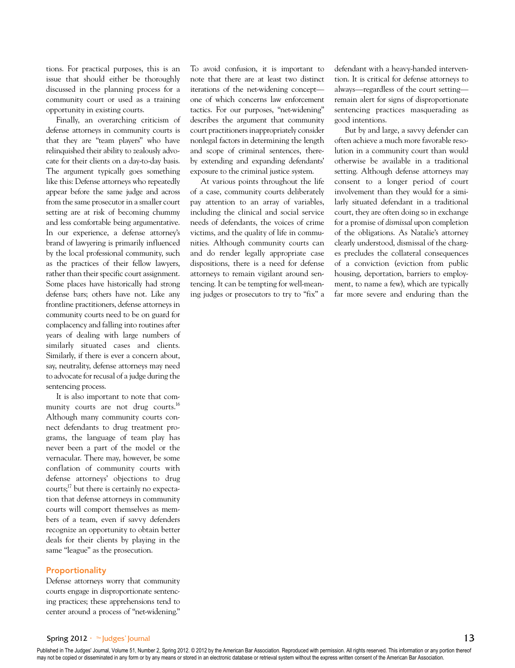tions. For practical purposes, this is an issue that should either be thoroughly discussed in the planning process for a community court or used as a training opportunity in existing courts.

Finally, an overarching criticism of defense attorneys in community courts is that they are "team players" who have relinquished their ability to zealously advocate for their clients on a day-to-day basis. The argument typically goes something like this: Defense attorneys who repeatedly appear before the same judge and across from the same prosecutor in a smaller court setting are at risk of becoming chummy and less comfortable being argumentative. In our experience, a defense attorney's brand of lawyering is primarily influenced by the local professional community, such as the practices of their fellow lawyers, rather than their specific court assignment. Some places have historically had strong defense bars; others have not. Like any frontline practitioners, defense attorneys in community courts need to be on guard for complacency and falling into routines after years of dealing with large numbers of similarly situated cases and clients. Similarly, if there is ever a concern about, say, neutrality, defense attorneys may need to advocate for recusal of a judge during the sentencing process.

It is also important to note that community courts are not drug courts.<sup>16</sup> Although many community courts connect defendants to drug treatment programs, the language of team play has never been a part of the model or the vernacular. There may, however, be some conflation of community courts with defense attorneys' objections to drug courts; $^{17}$  but there is certainly no expectation that defense attorneys in community courts will comport themselves as members of a team, even if savvy defenders recognize an opportunity to obtain better deals for their clients by playing in the same "league" as the prosecution.

#### **Proportionality**

Defense attorneys worry that community courts engage in disproportionate sentencing practices; these apprehensions tend to center around a process of "net-widening."

To avoid confusion, it is important to note that there are at least two distinct iterations of the net-widening concept one of which concerns law enforcement tactics. For our purposes, "net-widening" describes the argument that community court practitioners inappropriately consider nonlegal factors in determining the length and scope of criminal sentences, thereby extending and expanding defendants' exposure to the criminal justice system.

At various points throughout the life of a case, community courts deliberately pay attention to an array of variables, including the clinical and social service needs of defendants, the voices of crime victims, and the quality of life in communities. Although community courts can and do render legally appropriate case dispositions, there is a need for defense attorneys to remain vigilant around sentencing. It can be tempting for well-meaning judges or prosecutors to try to "fix" a defendant with a heavy-handed intervention. It is critical for defense attorneys to always—regardless of the court setting remain alert for signs of disproportionate sentencing practices masquerading as good intentions.

But by and large, a savvy defender can often achieve a much more favorable resolution in a community court than would otherwise be available in a traditional setting. Although defense attorneys may consent to a longer period of court involvement than they would for a similarly situated defendant in a traditional court, they are often doing so in exchange for a promise of *dismissal* upon completion of the obligations. As Natalie's attorney clearly understood, dismissal of the charges precludes the collateral consequences of a conviction (eviction from public housing, deportation, barriers to employment, to name a few), which are typically far more severe and enduring than the

## Spring 2012 •  $\mathbb{I}^*$  Judges' Journal 13

Published in The Judges' Journal, Volume 51, Number 2, Spring 2012. © 2012 by the American Bar Association. Reproduced with permission. All rights reserved. This information or any portion thereof may not be copied or disseminated in any form or by any means or stored in an electronic database or retrieval system without the express written consent of the American Bar Association.